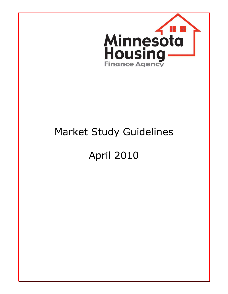

# Market Study Guidelines

# April 2010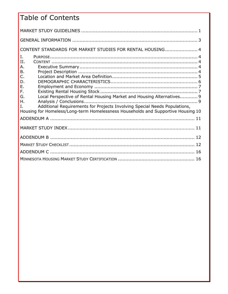# **Table of Contents**

| CONTENT STANDARDS FOR MARKET STUDIES FOR RENTAL HOUSING 4                                                                                                                                                                                                      |  |  |
|----------------------------------------------------------------------------------------------------------------------------------------------------------------------------------------------------------------------------------------------------------------|--|--|
| Ι.<br>H.<br>Α.<br><b>B.</b>                                                                                                                                                                                                                                    |  |  |
| C.<br>D.<br>Ε.                                                                                                                                                                                                                                                 |  |  |
| F.<br>Local Perspective of Rental Housing Market and Housing Alternatives 9<br>G.<br>Η.<br>Additional Requirements for Projects Involving Special Needs Populations,<br>T.<br>Housing for Homeless/Long-term Homelessness Households and Supportive Housing 10 |  |  |
|                                                                                                                                                                                                                                                                |  |  |
|                                                                                                                                                                                                                                                                |  |  |
|                                                                                                                                                                                                                                                                |  |  |
|                                                                                                                                                                                                                                                                |  |  |
|                                                                                                                                                                                                                                                                |  |  |
|                                                                                                                                                                                                                                                                |  |  |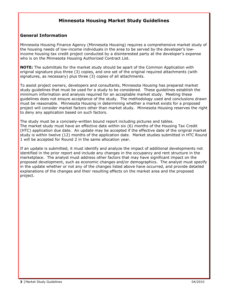# Minnesota Housing Market Study Guidelines

# General Information

Minnesota Housing Finance Agency (Minnesota Housing) requires a comprehensive market study of the housing needs of low-income individuals in the area to be served by the developer's lowincome housing tax credit project conducted by a disinterested party at the developer's expense who is on the Minnesota Housing Authorized Contract List.

**NOTE:** The submittals for the market study should be apart of the Common Application with original signature plus three (3) copies, and one set of the original required attachments (with signatures, as necessary) plus three (3) copies of all attachments.

To assist project owners, developers and consultants, Minnesota Housing has prepared market study guidelines that must be used for a study to be considered. These guidelines establish the minimum information and analysis required for an acceptable market study. Meeting these guidelines does not ensure acceptance of the study. The methodology used and conclusions drawn must be reasonable. Minnesota Housing in determining whether a market exists for a proposed project will consider market factors other than market study. Minnesota Housing reserves the right to deny any application based on such factors.

The study must be a concisely-written bound report including pictures and tables. The market study must have an effective date within six (6) months of the Housing Tax Credit (HTC) application due date. An update may be accepted if the effective date of the original market study is within twelve (12) months of the application date. Market studies submitted in HTC Round 1 will be accepted for Round 2 in the same allocation year.

If an update is submitted, it must identify and analyze the impact of additional developments not identified in the prior report and include any changes in the occupancy and rent structure in the marketplace. The analyst must address other factors that may have significant impact on the proposed development, such as economic changes and/or demographics. The analyst must specify in the update whether or not any of the changes listed above have occurred, and provide detailed explanations of the changes and their resulting effects on the market area and the proposed project.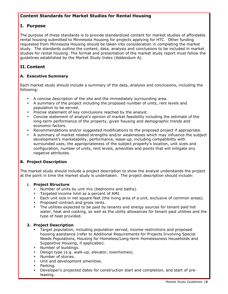# Content Standards for Market Studies for Rental Housing

# I. Purpose

The purpose of these standards is to provide standardized content for market studies of affordable rental housing submitted to Minnesota Housing for projects applying for HTC. Other funding requested from Minnesota Housing should be taken into consideration in completing the market study. The standards outline the content, data, analysis and conclusions to be included in market studies for rental housing. The format and presentation of the market study report must follow the guidelines established by the Market Study Index (Addendum A).

# II. Content

### A. Executive Summary

Each market study should include a summary of the data, analysis and conclusions, including the following:

- A concise description of the site and the immediately surrounding area.
- A summary of the project including the proposed number of units, rent levels and population to be served.
- Precise statement of key conclusions reached by the analyst.
- Concise statement of analyst's opinion of market feasibility including the estimate of the long-term performance of the property, given housing and demographic trends and economic factors.
- Recommendations and/or suggested modifications to the proposed project if appropriate.
- A summary of market related strengths and/or weaknesses which may influence the subject development's marketability, performance, lease-up, including compatibility with surrounded uses, the appropriateness of the subject property's location, unit sizes and configuration, number of units, rent levels, amenities and points that will mitigate any negative attributes.

#### B. Project Description

The market study should include a project description to show the analyst understands the project at the point in time the market study is undertaken. The project description should include:

#### **1.** Project Structure

- Number of units by unit mix (bedrooms and baths).
- Targeted income limit as a percent of AMI.
- Each unit size in net square feet (the living area of a unit, exclusive of common areas).
- Proposed contract and gross rents.
- The utilities expected to be paid by tenants and energy sources for tenant paid hot water, heat and cooking, as well as the utility allowances for tenant paid utilities and the type of heat provided.

#### 2. Project Description

- Target population, including population served, income restrictions and proposed housing assistance (refer to Additional Requirements for Projects Involving Special Needs Populations, Housing for Homeless/Long-term Homelessness Households and Supportive Housing, if applicable).
- Number of buildings.
- Design type (e.g. walk-up, elevator, townhomes).
- Number of stories.
- Unit and development amenities.
- Parking.
- Developer's projected dates for construction start and completion, and start of preleasing.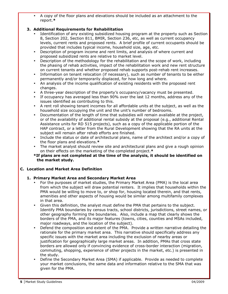• A copy of the floor plans and elevations should be included as an attachment to the report.\*

# 3. Additional Requirements for Rehabilitation

- Identification of any existing subsidized housing program at the property such as Section 8, Section 202, Section 811, BMIR, Section 236, etc, as well as current occupancy levels, current rents and proposed rents. A brief profile of current occupants should be provided that includes typical income, household size, age, etc.
- Description of program income and rent limits, and analysis of where current and proposed subsidized rents are relative to market level.
- Description of the methodology for the rehabilitation and the scope of work, including the phasing of rehab activities, impact of the rehabilitation work and new rent structure on current tenants and whether proposed rehab supports post-rehab rent increases.
- Information on tenant relocation (if necessary), such as number of tenants to be either permanently and/or temporarily displaced, for how long and where.
- An analysis of the income qualification of existing residents with the proposed rent changes.
- A three-year description of the property's occupancy/vacancy must be presented.
- If occupancy has averaged less than 90% over the last 12 months, address any of the issues identified as contributing to this.
- A rent roll showing tenant incomes for all affordable units at the subject, as well as the household size occupying the unit and the unit's number of bedrooms.
- Documentation of the length of time that subsidies will remain available at the project, or of the availability of additional rental subsidy at the proposal (e.g., additional Rental Assistance units for RD 515 projects), such as a copy of the applicable portion of the HAP contract, or a letter from the Rural Development showing that the RA units at the subject will remain after rehab efforts are finished.
- Include the status or date of architectural plans, name of the architect and/or a copy of the floor plans and elevations.\*
- The market analyst should review site and architectural plans and give a rough opinion on their effects on the marketing of the completed project.\*
- \*If plans are not completed at the time of the analysis, it should be identified on the market study.

#### C. Location and Market Area Definition

# 1. Primary Market Area and Secondary Market Area

- For the purposes of market studies, the Primary Market Area (PMA) is the local area from which the subject will draw potential renters. It implies that households within the PMA would be willing to move to, or shop for, housing located therein, and that rents, amenities and other aspects of housing would be similar among multifamily complexes in that area.
- Given this definition, the analyst must define the PMA that pertains to the subject. Identify PMA boundaries by census tracts, school districts, jurisdictions, street names, or other geography forming the boundaries. Also, include a map that clearly shows the borders of the PMA, and its major features (towns, cities, counties and MSAs included, major roadways, and the location of the subject).
- Defend the composition and extent of the PMA. Provide a written narrative detailing the rationale for the primary market area. This narrative should specifically address any specific issues with the market area including the exclusion of nearby areas or justification for geographically large market areas. In addition, PMAs that cross state borders are allowed only if convincing evidence of cross-border interaction (migration, commuting, shopping, experience of other projects in the market, etc.) is presented in the study.
- Define the Secondary Market Area (SMA) if applicable. Provide as needed to complete your market conclusions, the same data and information relative to the SMA that was given for the PMA.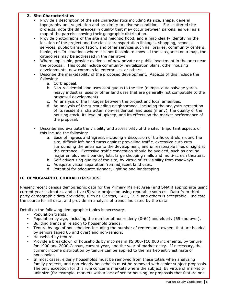#### 2. Site Characteristics

- Provide a description of the site characteristics including its size, shape, general topography and vegetation and proximity to adverse conditions. For scattered site projects, note the differences in quality that may occur between parcels, as well as a map of the parcels showing their geographic distribution.
- Provide photographs of the site and neighborhood, and a map clearly identifying the location of the project and the closest transportation linkages, shopping, schools, services, public transportation, and other services such as libraries, community centers, banks, etc. In situations where it is not feasible to show all the categories on a map, the categories may be addressed in the narrative.
- Where applicable, provide evidence of new private or public investment in the area near the proposal. This could include community revitalization plans, other housing developments, new commercial enterprises, or others.
- Describe the marketability of the proposed development. Aspects of this include the following:
	- a. Curb appeal.
	- b. Non-residential land uses contiguous to the site (dumps, auto salvage yards, heavy industrial uses or other land uses that are generally not compatible to the proposed development).
	- c. An analysis of the linkages between the project and local amenities.
	- d. An analysis of the surrounding neighborhood, including the analyst's perception of its residential character, non-residential land uses (if any), the quality of the housing stock, its level of upkeep, and its effects on the market performance of the proposal.
- Describe and evaluate the visibility and accessibility of the site. Important aspects of this include the following:
	- a. Ease of ingress and egress, including a discussion of traffic controls around the site, difficult left-hand turns against prevailing traffic, excessive curb cuts surrounding the entrance to the development, and unreasonable lines of sight at the entrance. Excessive traffic congestion should be avoided, such as around major employment parking lots, large shopping malls and multi-screen theaters.
	- b. Self-advertising quality of the site, by virtue of its visibility from roadways.
	- c. Adequate visual separation from adjacent land uses.
	- d. Potential for adequate signage, lighting and landscaping.

#### D. DEMOGRAPHIC CHARACTERISTICS

Present recent census demographic data for the Primary Market Area (and SMA if appropriate)using current year estimates, and a five (5) year projection using reputable sources. Data from thirdparty demographic data providers, such as Claritas, CACI, ESRI and others is acceptable. Indicate the source for all data, and provide an analysis of trends indicated by the data.

Detail on the following demographic topics is necessary:

- Population trends.
- Population by age, including the number of non-elderly (0-64) and elderly (65 and over).
- Building trends in relation to household trends.
- Tenure by age of householder, including the number of renters and owners that are headed by seniors (aged 65 and over) and non-seniors.
- Household by tenure.
- Provide a breakdown of households by incomes in \$5,000-\$10,000 increments, by tenure for 1990 and 2000 Census, current year, and the year of market entry. If necessary, the current income distribution by tenure can be applied to the market-entry estimate of households.
- In most cases, elderly households must be removed from these totals when analyzing family projects, and non-elderly households must be removed with senior subject proposals. The only exception for this rule concerns markets where the subject, by virtue of market or unit size (for example, markets with a lack of senior housing, or proposals that feature one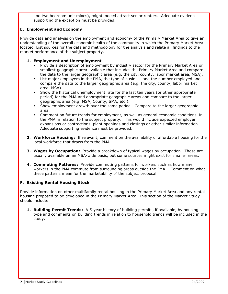and two bedroom unit mixes), might indeed attract senior renters. Adequate evidence supporting the exception must be provided.

# E. Employment and Economy

Provide data and analysis on the employment and economy of the Primary Market Area to give an understanding of the overall economic health of the community in which the Primary Market Area is located. List sources for the data and methodology for the analysis and relate all findings to the market performance of the subject property.

# 1. Employment and Unemployment

- Provide a description of employment by industry sector for the Primary Market Area or smallest geographic area available that includes the Primary Market Area and compare the data to the larger geographic area (e.g. the city, county, labor market area, MSA).
- List major employers in the PMA, the type of business and the number employed and compare the data to the larger geographic area (e.g. the city, county, labor market area, MSA).
- Show the historical unemployment rate for the last ten years (or other appropriate period) for the PMA and appropriate geographic areas and compare to the larger geographic area (e.g. MSA, County, SMA, etc.).
- Show employment growth over the same period. Compare to the larger geographic area.
- Comment on future trends for employment, as well as general economic conditions, in the PMA in relation to the subject property. This would include expected employer expansions or contractions, plant openings and closings or other similar information. Adequate supporting evidence must be provided.
- 2. Workforce Housing: If relevant, comment on the availability of affordable housing for the local workforce that draws from the PMA.
- **3. Wages by Occupation:** Provide a breakdown of typical wages by occupation. These are usually available on an MSA-wide basis, but some sources might exist for smaller areas.
- **4. Commuting Patterns:** Provide commuting patterns for workers such as how many workers in the PMA commute from surrounding areas outside the PMA. Comment on what these patterns mean for the marketability of the subject proposal.

# F. Existing Rental Housing Stock

Provide information on other multifamily rental housing in the Primary Market Area and any rental housing proposed to be developed in the Primary Market Area. This section of the Market Study should include:

**1. Building Permit Trends:** A 5-year history of building permits, if available, by housing type and comments on building trends in relation to household trends will be included in the study.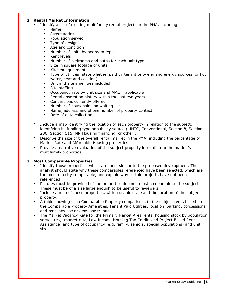#### 2. Rental Market Information:

- Identify a list of existing multifamily rental projects in the PMA, including:
	- Name
	- Street address
	- Population served
	- Type of design
	- Age and condition
	- Number of units by bedroom type
	- Rent levels
	- Number of bedrooms and baths for each unit type
	- Size in square footage of units
	- Kitchen equipment
	- Type of utilities (state whether paid by tenant or owner and energy sources for hot water, heat and cooking)
	- Unit and site amenities included
	- Site staffing
	- Occupancy rate by unit size and AMI, if applicable
	- Rental absorption history within the last two years
	- Concessions currently offered
	- Number of households on waiting list
	- Name, address and phone number of property contact
	- Date of data collection
- Include a map identifying the location of each property in relation to the subject, identifying its funding type or subsidy source (LIHTC, Conventional, Section 8, Section 236, Section 515, MN Housing financing, or other).
- Describe the size of the overall rental market in the PMA, including the percentage of Market Rate and Affordable Housing properties.
- Provide a narrative evaluation of the subject property in relation to the market's multifamily properties.

#### 3. Most Comparable Properties

- Identify those properties, which are most similar to the proposed development. The analyst should state why these comparables referenced have been selected, which are the most directly comparable, and explain why certain projects have not been referenced.
- Pictures must be provided of the properties deemed most comparable to the subject. These must be of a size large enough to be useful to reviewers.
- Include a map of these properties, with a usable scale and the location of the subject property.
- A table showing each Comparable Property comparisons to the subject rents based on the Comparable Property Amenities, Tenant Paid Utilities, location, parking, concessions and rent increase or decrease trends.
- The Market Vacancy Rate for the Primary Market Area rental housing stock by population served (e.g. market rate, Low Income Housing Tax Credit, and Project Based Rent Assistance) and type of occupancy (e.g. family, seniors, special populations) and unit size.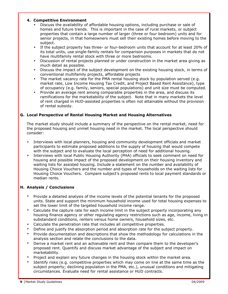#### 4. Competitive Environment

- Discuss the availability of affordable housing options, including purchase or sale of homes and future trends. This is important in the case of rural markets, or subject properties that contain a large number of larger (three or four bedroom) units and for senior projects, in that homeowners must sell their existing homes before moving to the subject.
- If the subject property has three- or four-bedroom units that account for at least 20% of its total units, use single-family rentals for comparison purposes in markets that do not have multifamily rental stock with three or more bedrooms.
- Discussion of rental projects planned or under construction in the market area giving as much detail as possible.
- Discuss the impact of the subject development on the existing housing stock, in terms of conventional multifamily projects, affordable projects
- The market vacancy rate for the PMA rental housing stock by population served (e.g. market rate, Low Income Housing Tax Credit, and Project Based Rent Assistance), type of occupancy (e.g. family, seniors, special populations) and unit size must be computed.
- Provide an average rent among comparable properties in the area, and discuss its ramifications for the marketability of the subject. Note that in many markets the level of rent charged in HUD-assisted properties is often not attainable without the provision of rental subsidy.

#### G. Local Perspective of Rental Housing Market and Housing Alternatives

The market study should include a summary of the perspective on the rental market, need for the proposed housing and unmet housing need in the market. The local perspective should consider:

- Interviews with local planners, housing and community development officials and market participants to estimate proposed additions to the supply of housing that would compete with the subject and to evaluate the local perception of need for additional housing.
- Interviews with local Public Housing Authority (PHA) officials to seek comment on need for housing and possible impact of the proposed development on their housing inventory and waiting lists for assisted housing. Include a statement on the number and availability of Housing Choice Vouchers and the number and types of households on the waiting lists for Housing Choice Vouchers. Compare subject's proposed rents to local payment standards or median rents.

#### H. Analysis / Conclusions

- Provide a detailed analysis of the income levels of the potential tenants for the proposed units. State and support the minimum household income used for total housing expenses to set the lower limit of the targeted household income range.
- Calculate the capture rate for each income limit in the subject property incorporating any housing finance agency or other regulating agency restrictions such as age, income, living in substandard conditions, renters versus home owners, household sizes, etc.
- Calculate the penetration rate that includes all competitive properties.
- Define and justify the absorption period and absorption rate for the subject property.
- Provide documentation and descriptions that show the methodology for calculations in the analysis section and relate the conclusions to the data.
- Derive a market rent and an achievable rent and then compare them to the developer's proposed rent. Quantify and discuss market advantage of the subject and impact on marketability.
- Project and explain any future changes in the housing stock within the market area.
- Identify risks (e.g. competitive properties which may come on line at the same time as the subject property; declining population in the PMA, etc.), unusual conditions and mitigating circumstances. Evaluate need for rental assistance or HUD contracts.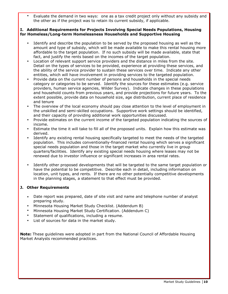• Evaluate the demand in two ways: one as a tax credit project only without any subsidy and the other as if the project was to retain its current subsidy, if applicable.

#### I. Additional Requirements for Projects Involving Special Needs Populations, Housing for Homeless/Long-term Homelessness Households and Supportive Housing

- Identify and describe the population to be served by the proposed housing as well as the amount and type of subsidy, which will be made available to make this rental housing more affordable to the target population. If no such subsidy will be made available, state that fact, and justify the rents based on the incomes of the target population.
- Location of relevant support service providers and the distance in miles from the site. Detail on the types of services to be provided, experience at providing these services, and the ability of the service provider to sustain these services over time. Indicate any other entities, which will have involvement in providing services to the targeted population.
- Provide data on the current number of persons and households in the special needs category or categories to be served. Identify the sources for these estimates (e.g. service providers, human service agencies, Wilder Survey). Indicate changes in these populations and household counts from previous years, and provide projections for future years. To the extent possible, provide data on household size, age distribution, current place of residence and tenure
- The overview of the local economy should pay close attention to the level of employment in the unskilled and semi-skilled occupations. Supportive work settings should be identified, and their capacity of providing additional work opportunities discussed.
- Provide estimates on the current income of the targeted population indicating the sources of income.
- Estimate the time it will take to fill all of the proposed units. Explain how this estimate was derived.
- Identify any existing rental housing specifically targeted to meet the needs of the targeted population. This includes conventionally-financed rental housing which serves a significant special needs population and those in the target market who currently live in group quarters/facilities. Identify any existing special needs housing where leases may not be renewed due to investor influence or significant increases in area rental rates.
- Identify other proposed developments that will be targeted to the same target population or have the potential to be competitive. Describe each in detail, including information on location, unit types, and rents. If there are no other potentially competitive developments in the planning stages, a statement to that effect must be provided.

#### J. Other Requirements

- Date report was prepared, date of site visit and name and telephone number of analyst preparing study.
- Minnesota Housing Market Study Checklist. (Addendum B)
- Minnesota Housing Market Study Certification. (Addendum C)
- Statement of qualifications, including a resume.
- List of sources for data in the market study.

Note: These guidelines were adopted in part from the National Council of Affordable Housing Market Analysts recommended practices.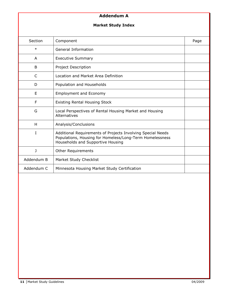# Addendum A

# Market Study Index

| Section      | Component                                                                                                                                                    | Page |
|--------------|--------------------------------------------------------------------------------------------------------------------------------------------------------------|------|
| $\ast$       | General Information                                                                                                                                          |      |
| A            | <b>Executive Summary</b>                                                                                                                                     |      |
| B            | Project Description                                                                                                                                          |      |
| C            | Location and Market Area Definition                                                                                                                          |      |
| D            | Population and Households                                                                                                                                    |      |
| E            | <b>Employment and Economy</b>                                                                                                                                |      |
| F            | <b>Existing Rental Housing Stock</b>                                                                                                                         |      |
| G            | Local Perspectives of Rental Housing Market and Housing<br>Alternatives                                                                                      |      |
| H            | Analysis/Conclusions                                                                                                                                         |      |
| I            | Additional Requirements of Projects Involving Special Needs<br>Populations, Housing for Homeless/Long-Term Homelessness<br>Households and Supportive Housing |      |
| $\mathbf{I}$ | <b>Other Requirements</b>                                                                                                                                    |      |
| Addendum B   | Market Study Checklist                                                                                                                                       |      |
| Addendum C   | Minnesota Housing Market Study Certification                                                                                                                 |      |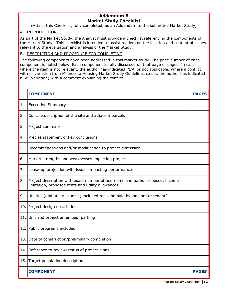# Addendum B Market Study Checklist

(Attach this Checklist, fully completed, as an Addendum to the submitted Market Study)

### A. INTRODUCTION

As part of the Market Study, the Analyst must provide a checklist referencing the components of the Market Study. This checklist is intended to assist readers on the location and content of issues relevant to the evaluation and analysis of the Market Study.

#### B. DESCRIPTION AND PROCEDURE FOR COMPLETING

The following components have been addressed in this market study. The page number of each component is noted below. Each component is fully discussed on that page or pages. In cases where the item is not relevant, the author has indicated 'N/A' or not applicable. Where a conflict with or variation from Minnesota Housing Market Study Guidelines exists, the author has indicated a 'V' (variation) with a comment explaining the conflict.

|     | <b>COMPONENT</b>                                                                                                                  | <b>PAGES</b> |
|-----|-----------------------------------------------------------------------------------------------------------------------------------|--------------|
| 1.  | <b>Executive Summary</b>                                                                                                          |              |
| 2.  | Concise description of the site and adjacent parcels                                                                              |              |
| 3.  | Project summary                                                                                                                   |              |
| 4.  | Precise statement of key conclusions                                                                                              |              |
| 5.  | Recommendations and/or modification to project discussion                                                                         |              |
| 6.  | Market strengths and weaknesses impacting project                                                                                 |              |
| 7.  | Lease-up projection with issues impacting performance                                                                             |              |
| 8.  | Project description with exact number of bedrooms and baths proposed, income<br>limitation, proposed rents and utility allowances |              |
| 9.  | Utilities (and utility sources) included rent and paid by landlord or tenant?                                                     |              |
|     | 10. Project design description                                                                                                    |              |
| 11. | Unit and project amenities; parking                                                                                               |              |
|     | 12. Public programs included                                                                                                      |              |
| 13. | Date of construction/preliminary completion                                                                                       |              |
| 14. | Reference to review/status of project plans                                                                                       |              |
|     | 15. Target population description                                                                                                 |              |
|     | <b>COMPONENT</b>                                                                                                                  | <b>PAGES</b> |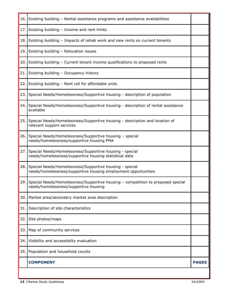| 16.  | Existing building - Rental assistance programs and assistance availabilities                                                 |              |
|------|------------------------------------------------------------------------------------------------------------------------------|--------------|
|      | 17. Existing building – Income and rent limits                                                                               |              |
|      | 18. Existing building - Impacts of rehab work and new rents on current tenants                                               |              |
|      | 19. Existing building - Relocation issues                                                                                    |              |
|      | 20. Existing building - Current tenant income qualifications to proposed rents                                               |              |
|      | 21. Existing building - Occupancy history                                                                                    |              |
|      | 22. Existing building - Rent roll for affordable units                                                                       |              |
|      | 23. Special Needs/Homelessness/Supportive housing - description of population                                                |              |
| 24.1 | Special Needs/Homelessness/Supportive housing - description of rental assistance<br>available                                |              |
| 25.  | Special Needs/Homelessness/Supportive housing - description and location of<br>relevant support services                     |              |
|      | 26. Special Needs/Homelessness/Supportive housing - special<br>needs/homelessness/supportive housing PMA                     |              |
|      | 27. Special Needs/Homelessness/Supportive housing - special<br>needs/homelessness/supportive housing statistical data        |              |
| 28.  | Special Needs/Homelessness/Supportive housing - special<br>needs/homelessness/supportive housing employment opportunities    |              |
|      | 29. Special Needs/Homelessness/Supportive housing - competition to proposed special<br>needs/homelessness/supportive housing |              |
|      | 30. Market area/secondary market area description                                                                            |              |
| 31.  | Description of site characteristics                                                                                          |              |
| 32.  | Site photos/maps                                                                                                             |              |
|      | 33. Map of community services                                                                                                |              |
| 34.  | Visibility and accessibility evaluation                                                                                      |              |
| 35.  | Population and household counts                                                                                              |              |
|      | <b>COMPONENT</b>                                                                                                             | <b>PAGES</b> |
|      |                                                                                                                              |              |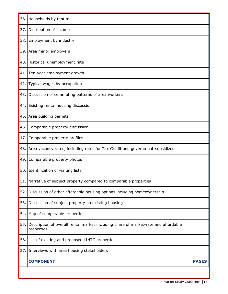| 36. | Households by tenure                                                                             |              |
|-----|--------------------------------------------------------------------------------------------------|--------------|
| 37. | Distribution of income                                                                           |              |
| 38. | Employment by industry                                                                           |              |
|     | 39. Area major employers                                                                         |              |
|     | 40. Historical unemployment rate                                                                 |              |
| 41. | Ten-year employment growth                                                                       |              |
| 42. | Typical wages by occupation                                                                      |              |
| 43. | Discussion of commuting patterns of area workers                                                 |              |
|     | 44. Existing rental housing discussion                                                           |              |
|     | 45. Area building permits                                                                        |              |
| 46. | Comparable property discussion                                                                   |              |
| 47. | Comparable property profiles                                                                     |              |
|     | 48. Area vacancy rates, including rates for Tax Credit and government-subsidized                 |              |
| 49. | Comparable property photos                                                                       |              |
|     | 50. Identification of waiting lists                                                              |              |
|     | 51. Narrative of subject property compared to comparable properties                              |              |
| 52. | Discussion of other affordable housing options including homeownership                           |              |
| 53. | Discussion of subject property on existing housing                                               |              |
|     | 54. Map of comparable properties                                                                 |              |
| 55. | Description of overall rental market including share of market-rate and affordable<br>properties |              |
|     | 56. List of existing and proposed LIHTC properties                                               |              |
|     | 57. Interviews with area housing stakeholders                                                    |              |
|     | <b>COMPONENT</b>                                                                                 | <b>PAGES</b> |
|     |                                                                                                  |              |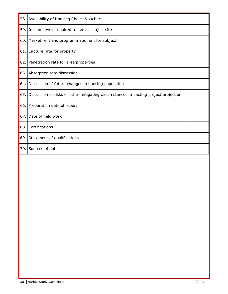|      | 58. Availability of Housing Choice Vouchers                                        |  |
|------|------------------------------------------------------------------------------------|--|
|      | 59. Income levels required to live at subject site                                 |  |
|      | 60. Market rent and programmatic rent for subject                                  |  |
| 61.  | Capture rate for property                                                          |  |
|      | 62. Penetration rate for area properties                                           |  |
| 63.  | Absorption rate discussion                                                         |  |
| 64.  | Discussion of future changes in housing population                                 |  |
| 65.  | Discussion of risks or other mitigating circumstances impacting project projection |  |
|      | 66. Preparation date of report                                                     |  |
| 67.  | Date of field work                                                                 |  |
| 68.  | Certifications                                                                     |  |
| 69.  | Statement of qualifications                                                        |  |
| 70.1 | Sources of data                                                                    |  |